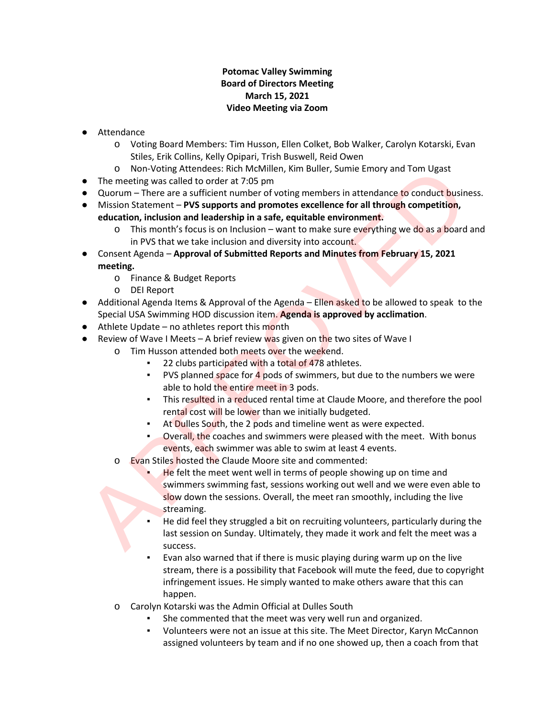#### **Potomac Valley Swimming Board of Directors Meeting March 15, 2021 Video Meeting via Zoom**

- Attendance
	- o Voting Board Members: Tim Husson, Ellen Colket, Bob Walker, Carolyn Kotarski, Evan Stiles, Erik Collins, Kelly Opipari, Trish Buswell, Reid Owen
	- o Non-Voting Attendees: Rich McMillen, Kim Buller, Sumie Emory and Tom Ugast
- The meeting was called to order at 7:05 pm
- Quorum There are a sufficient number of voting members in attendance to conduct business.
- Mission Statement **PVS supports and promotes excellence for all through competition, education, inclusion and leadership in a safe, equitable environment.**
	- $\circ$  This month's focus is on Inclusion want to make sure everything we do as a board and in PVS that we take inclusion and diversity into account.
- Consent Agenda **Approval of Submitted Reports and Minutes from February 15, 2021 meeting.**
	- o Finance & Budget Reports
	- o DEI Report
- Additional Agenda Items & Approval of the Agenda Ellen asked to be allowed to speak to the Special USA Swimming HOD discussion item. **Agenda is approved by acclimation**.
- Athlete Update no athletes report this month
- **•** Review of Wave I Meets A brief review was given on the two sites of Wave I
	- o Tim Husson attended both meets over the weekend.
		- 22 clubs participated with a total of 478 athletes.
		- PVS planned space for 4 pods of swimmers, but due to the numbers we were able to hold the entire meet in 3 pods.
		- **EXECT** This resulted in a reduced rental time at Claude Moore, and therefore the pool rental cost will be lower than we initially budgeted.
		- **EXECUTE:** At Dulles South, the 2 pods and timeline went as were expected.
		- **•** Overall, the coaches and swimmers were pleased with the meet. With bonus events, each swimmer was able to swim at least 4 events.
	- o Evan Stiles hosted the Claude Moore site and commented:
- He felt the meet went well in terms of people showing up on time and swimmers swimming fast, sessions working out well and we were even able to slow down the sessions. Overall, the meet ran smoothly, including the live streaming. O Non-Volting Attendees: Rich McMillen, Kim Buller, Sumie Emory and Tom Ugast<br>
• The meeting was called to order at 7:05 pm<br>
• Cluorum – There are a sufficient number of voting members in attendance to conduct busin<br>
• Mis
	- He did feel they struggled a bit on recruiting volunteers, particularly during the last session on Sunday. Ultimately, they made it work and felt the meet was a success.
	- Evan also warned that if there is music playing during warm up on the live stream, there is a possibility that Facebook will mute the feed, due to copyright infringement issues. He simply wanted to make others aware that this can happen.
	- o Carolyn Kotarski was the Admin Official at Dulles South
		- She commented that the meet was very well run and organized.
		- Volunteers were not an issue at this site. The Meet Director, Karyn McCannon assigned volunteers by team and if no one showed up, then a coach from that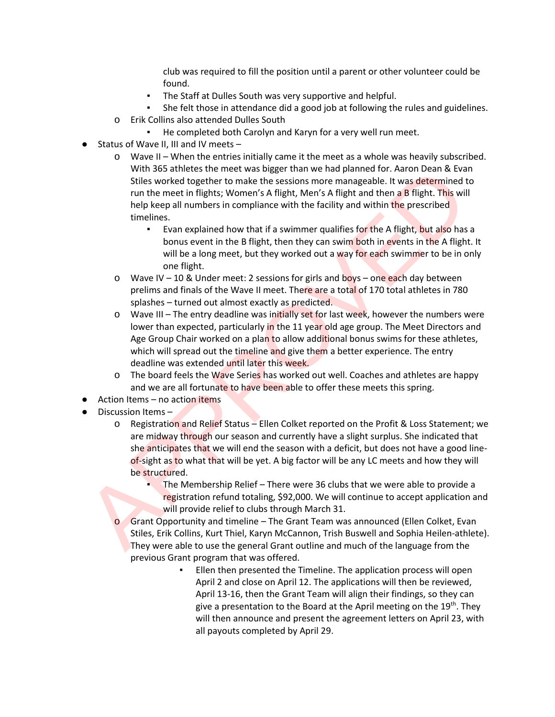club was required to fill the position until a parent or other volunteer could be found.

- The Staff at Dulles South was very supportive and helpful.
- She felt those in attendance did a good job at following the rules and guidelines.
- o Erik Collins also attended Dulles South
	- He completed both Carolyn and Karyn for a very well run meet.
- Status of Wave II, III and IV meets  $-$ 
	- $\circ$  Wave II When the entries initially came it the meet as a whole was heavily subscribed. With 365 athletes the meet was bigger than we had planned for. Aaron Dean & Evan Stiles worked together to make the sessions more manageable. It was determined to run the meet in flights; Women's A flight, Men's A flight and then a B flight. This will help keep all numbers in compliance with the facility and within the prescribed timelines.
		- Evan explained how that if a swimmer qualifies for the A flight, but also has a bonus event in the B flight, then they can swim both in events in the A flight. It will be a long meet, but they worked out a way for each swimmer to be in only one flight.
	- $\circ$  Wave IV 10 & Under meet: 2 sessions for girls and boys one each day between prelims and finals of the Wave II meet. There are a total of 170 total athletes in 780 splashes – turned out almost exactly as predicted.
- $\circ$  Wave III The entry deadline was initially set for last week, however the numbers were lower than expected, particularly in the 11 year old age group. The Meet Directors and Age Group Chair worked on a plan to allow additional bonus swims for these athletes, which will spread out the timeline and give them a better experience. The entry deadline was extended until later this week. With 365 athletes the meet was biget than we had planned for. Aaron Dean & Evaluation Consumer Significant Universe Significant Trum the meet in flights; Women's A flight, Men's A flight and then **a** B flight. This will th
	- $\circ$  The board feels the Wave Series has worked out well. Coaches and athletes are happy and we are all fortunate to have been able to offer these meets this spring.
- Action Items no action items
- Discussion Items
	- o Registration and Relief Status Ellen Colket reported on the Profit & Loss Statement; we are midway through our season and currently have a slight surplus. She indicated that she anticipates that we will end the season with a deficit, but does not have a good lineof-sight as to what that will be yet. A big factor will be any LC meets and how they will be structured.
		- The Membership Relief There were 36 clubs that we were able to provide a registration refund totaling, \$92,000. We will continue to accept application and will provide relief to clubs through March 31.
		- Grant Opportunity and timeline The Grant Team was announced (Ellen Colket, Evan Stiles, Erik Collins, Kurt Thiel, Karyn McCannon, Trish Buswell and Sophia Heilen-athlete). They were able to use the general Grant outline and much of the language from the previous Grant program that was offered.
			- Ellen then presented the Timeline. The application process will open April 2 and close on April 12. The applications will then be reviewed, April 13-16, then the Grant Team will align their findings, so they can give a presentation to the Board at the April meeting on the 19<sup>th</sup>. They will then announce and present the agreement letters on April 23, with all payouts completed by April 29.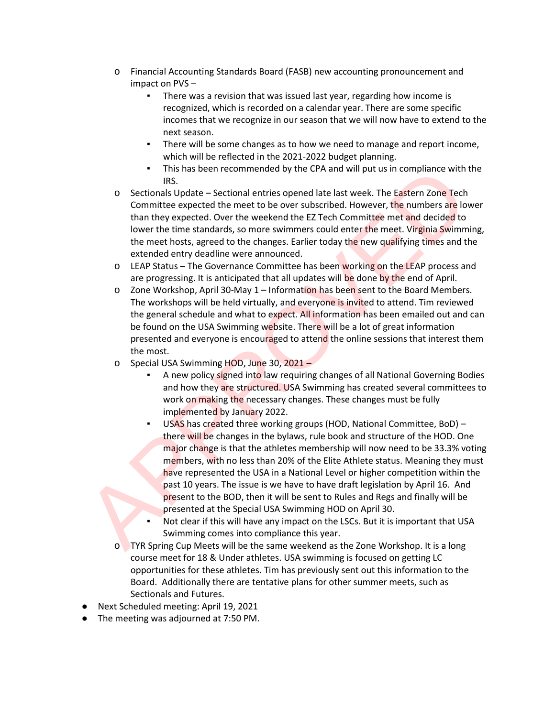- o Financial Accounting Standards Board (FASB) new accounting pronouncement and impact on PVS –
	- There was a revision that was issued last year, regarding how income is recognized, which is recorded on a calendar year. There are some specific incomes that we recognize in our season that we will now have to extend to the next season.
	- There will be some changes as to how we need to manage and report income, which will be reflected in the 2021-2022 budget planning.
	- This has been recommended by the CPA and will put us in compliance with the IRS.
- $\circ$  Sectionals Update Sectional entries opened late last week. The Eastern Zone Tech Committee expected the meet to be over subscribed. However, the numbers are lower than they expected. Over the weekend the EZ Tech Committee met and decided to lower the time standards, so more swimmers could enter the meet. Virginia Swimming, the meet hosts, agreed to the changes. Earlier today the new qualifying times and the extended entry deadline were announced.
- $\circ$  LEAP Status The Governance Committee has been working on the LEAP process and are progressing. It is anticipated that all updates will be done by the end of April.
- $\circ$  Zone Workshop, April 30-May 1 Information has been sent to the Board Members. The workshops will be held virtually, and everyone is invited to attend. Tim reviewed the general schedule and what to expect. All information has been emailed out and can be found on the USA Swimming website. There will be a lot of great information presented and everyone is encouraged to attend the online sessions that interest them the most.
- o Special USA Swimming HOD, June 30, 2021
	- A new policy signed into law requiring changes of all National Governing Bodies and how they are structured. USA Swimming has created several committees to work on making the necessary changes. These changes must be fully implemented by January 2022.
- USAS has created three working groups (HOD, National Committee, BoD) there will be changes in the bylaws, rule book and structure of the HOD. One major change is that the athletes membership will now need to be 33.3% voting members, with no less than 20% of the Elite Athlete status. Meaning they must have represented the USA in a National Level or higher competition within the past 10 years. The issue is we have to have draft legislation by April 16. And present to the BOD, then it will be sent to Rules and Regs and finally will be presented at the Special USA Swimming HOD on April 30. This has been recommended by the CPA and will put us in compliance with<br>
IRS.<br>
Sectionals Update – Sectional entries opened late last week. The Eastern Zone Tech<br>
Committee expected to meet to be over subscribed. However,
	- Not clear if this will have any impact on the LSCs. But it is important that USA Swimming comes into compliance this year.
	- o TYR Spring Cup Meets will be the same weekend as the Zone Workshop. It is a long course meet for 18 & Under athletes. USA swimming is focused on getting LC opportunities for these athletes. Tim has previously sent out this information to the Board. Additionally there are tentative plans for other summer meets, such as Sectionals and Futures.
- Next Scheduled meeting: April 19, 2021
- The meeting was adjourned at 7:50 PM.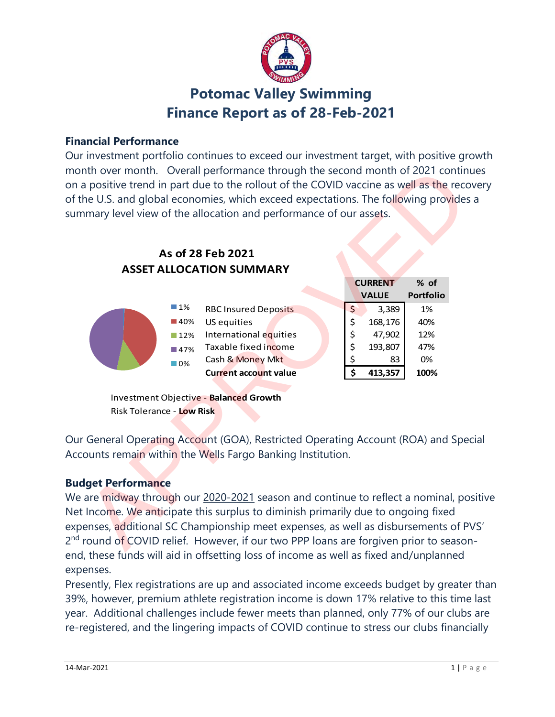

# **Potomac Valley Swimming Finance Report as of 28-Feb-2021**

#### **Financial Performance**

Our investment portfolio continues to exceed our investment target, with positive growth month over month. Overall performance through the second month of 2021 continues on a positive trend in part due to the rollout of the COVID vaccine as well as the recovery of the U.S. and global economies, which exceed expectations. The following provides a summary level view of the allocation and performance of our assets.

## **ASSET ALLOCATION SUMMARY As of 28 Feb 2021**



Investment Objective - **Balanced Growth** Risk Tolerance - **Low Risk**

Our General Operating Account (GOA), Restricted Operating Account (ROA) and Special Accounts remain within the Wells Fargo Banking Institution.

## **Budget Performance**

We are midway through our 2020-2021 season and continue to reflect a nominal, positive Net Income. We anticipate this surplus to diminish primarily due to ongoing fixed expenses, additional SC Championship meet expenses, as well as disbursements of PVS' 2<sup>nd</sup> round of COVID relief. However, if our two PPP loans are forgiven prior to seasonend, these funds will aid in offsetting loss of income as well as fixed and/unplanned expenses.

Presently, Flex registrations are up and associated income exceeds budget by greater than 39%, however, premium athlete registration income is down 17% relative to this time last year. Additional challenges include fewer meets than planned, only 77% of our clubs are re-registered, and the lingering impacts of COVID continue to stress our clubs financially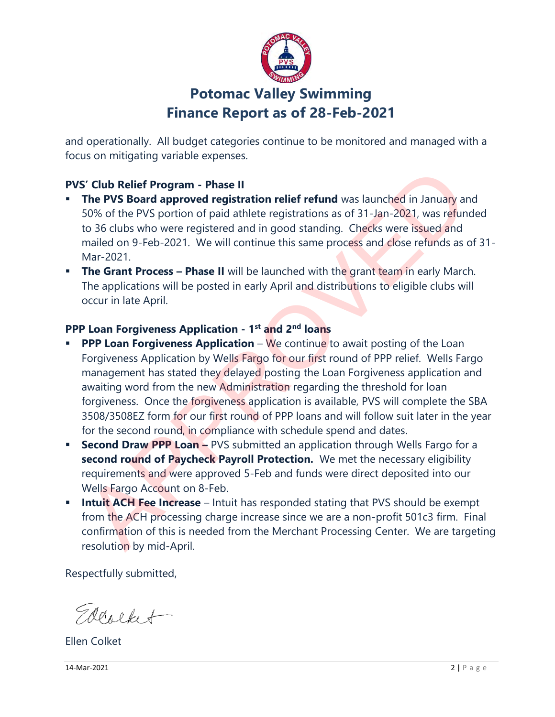

# **Potomac Valley Swimming Finance Report as of 28-Feb-2021**

and operationally. All budget categories continue to be monitored and managed with a focus on mitigating variable expenses.

## **PVS' Club Relief Program - Phase II**

- **The PVS Board approved registration relief refund** was launched in January and 50% of the PVS portion of paid athlete registrations as of 31-Jan-2021, was refunded to 36 clubs who were registered and in good standing. Checks were issued and mailed on 9-Feb-2021. We will continue this same process and close refunds as of 31- Mar-2021.
- **The Grant Process Phase II** will be launched with the grant team in early March. The applications will be posted in early April and distributions to eligible clubs will occur in late April.

### **PPP Loan Forgiveness Application - 1 st and 2nd loans**

- **PPP Loan Forgiveness Application** We continue to await posting of the Loan Forgiveness Application by Wells Fargo for our first round of PPP relief. Wells Fargo management has stated they delayed posting the Loan Forgiveness application and awaiting word from the new Administration regarding the threshold for loan forgiveness. Once the forgiveness application is available, PVS will complete the SBA 3508/3508EZ form for our first round of PPP loans and will follow suit later in the year for the second round, in compliance with schedule spend and dates. S' Club Relief Program - Phase II<br>The PVS Board approved registration relief refund was launched in January at<br>50% of the PVS portion of paid athlete registration as of 31-Jan-2021, was refund<br>60 36 clubs who were register
- **Second Draw PPP Loan -** PVS submitted an application through Wells Fargo for a **second round of Paycheck Payroll Protection.** We met the necessary eligibility requirements and were approved 5-Feb and funds were direct deposited into our Wells Fargo Account on 8-Feb.
- **Intuit ACH Fee Increase** Intuit has responded stating that PVS should be exempt from the ACH processing charge increase since we are a non-profit 501c3 firm. Final confirmation of this is needed from the Merchant Processing Center. We are targeting resolution by mid-April.

Respectfully submitted,

Edeolket

Ellen Colket

**14-Mar-2021** 2 | P a g e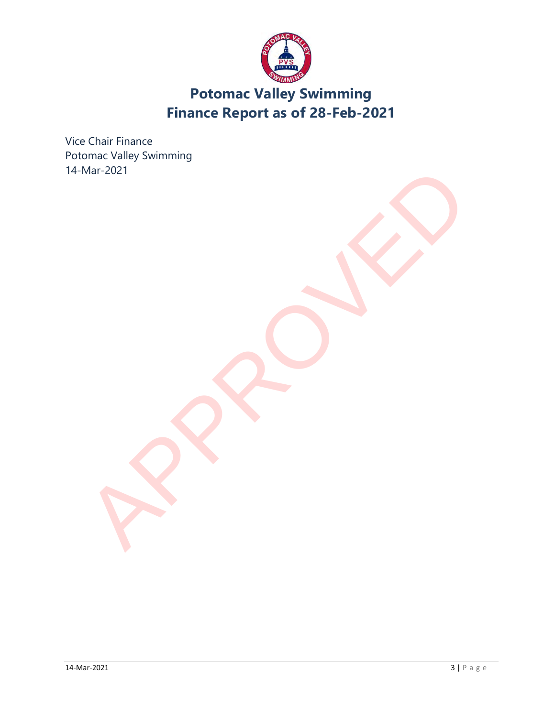

# **Potomac Valley Swimming Finance Report as of 28-Feb-2021**

Vice Chair Finance Potomac Valley Swimming 14-Mar-2021 APPROVED N